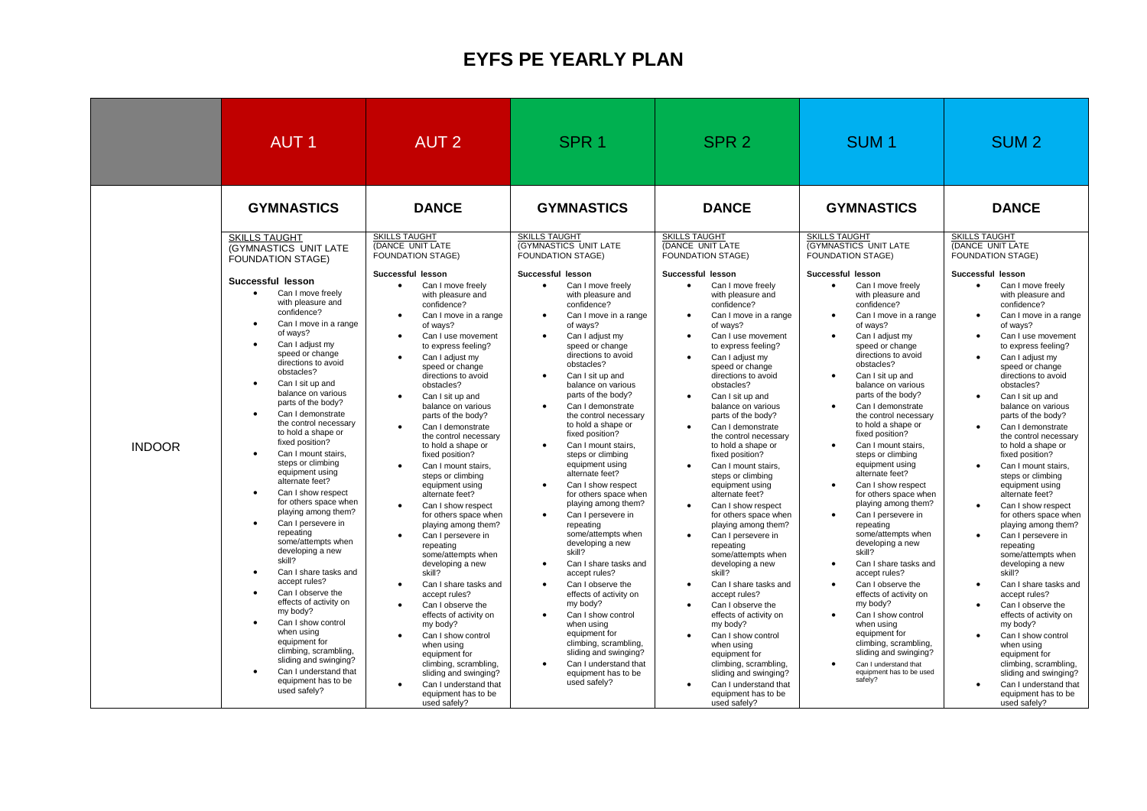## **EYFS PE YEARLY PLAN**

|               | <b>AUT1</b>                                                                                                                                                                                                                                                                                                                                                                                                                                                                                                                                                                                                                                                                                                                                                                                                                                                                                                                                                                                       | <b>AUT 2</b>                                                                                                                                                                                                                                                                                                                                                                                                                                                                                                                                                                                                                                                                                                                                                                                                                                                                                                                                                                                                                                                                          | SPR <sub>1</sub>                                                                                                                                                                                                                                                                                                                                                                                                                                                                                                                                                                                                                                                                                                                                                                                                                                                                                       | SPR <sub>2</sub>                                                                                                                                                                                                                                                                                                                                                                                                                                                                                                                                                                                                                                                                                                                                                                                                                                                                                                                                                                                                                                                                                   | SUM <sub>1</sub>                                                                                                                                                                                                                                                                                                                                                                                                                                                                                                                                                                                                                                                                                                                                                                                                                                                                                                    | SUM <sub>2</sub>                                                                                                                                                                                                                                                                                                                                                                                                                                                                                                                                                                                                                                                                                                                                                                                                                                                                                                                                                                                                                                            |
|---------------|---------------------------------------------------------------------------------------------------------------------------------------------------------------------------------------------------------------------------------------------------------------------------------------------------------------------------------------------------------------------------------------------------------------------------------------------------------------------------------------------------------------------------------------------------------------------------------------------------------------------------------------------------------------------------------------------------------------------------------------------------------------------------------------------------------------------------------------------------------------------------------------------------------------------------------------------------------------------------------------------------|---------------------------------------------------------------------------------------------------------------------------------------------------------------------------------------------------------------------------------------------------------------------------------------------------------------------------------------------------------------------------------------------------------------------------------------------------------------------------------------------------------------------------------------------------------------------------------------------------------------------------------------------------------------------------------------------------------------------------------------------------------------------------------------------------------------------------------------------------------------------------------------------------------------------------------------------------------------------------------------------------------------------------------------------------------------------------------------|--------------------------------------------------------------------------------------------------------------------------------------------------------------------------------------------------------------------------------------------------------------------------------------------------------------------------------------------------------------------------------------------------------------------------------------------------------------------------------------------------------------------------------------------------------------------------------------------------------------------------------------------------------------------------------------------------------------------------------------------------------------------------------------------------------------------------------------------------------------------------------------------------------|----------------------------------------------------------------------------------------------------------------------------------------------------------------------------------------------------------------------------------------------------------------------------------------------------------------------------------------------------------------------------------------------------------------------------------------------------------------------------------------------------------------------------------------------------------------------------------------------------------------------------------------------------------------------------------------------------------------------------------------------------------------------------------------------------------------------------------------------------------------------------------------------------------------------------------------------------------------------------------------------------------------------------------------------------------------------------------------------------|---------------------------------------------------------------------------------------------------------------------------------------------------------------------------------------------------------------------------------------------------------------------------------------------------------------------------------------------------------------------------------------------------------------------------------------------------------------------------------------------------------------------------------------------------------------------------------------------------------------------------------------------------------------------------------------------------------------------------------------------------------------------------------------------------------------------------------------------------------------------------------------------------------------------|-------------------------------------------------------------------------------------------------------------------------------------------------------------------------------------------------------------------------------------------------------------------------------------------------------------------------------------------------------------------------------------------------------------------------------------------------------------------------------------------------------------------------------------------------------------------------------------------------------------------------------------------------------------------------------------------------------------------------------------------------------------------------------------------------------------------------------------------------------------------------------------------------------------------------------------------------------------------------------------------------------------------------------------------------------------|
|               | <b>GYMNASTICS</b>                                                                                                                                                                                                                                                                                                                                                                                                                                                                                                                                                                                                                                                                                                                                                                                                                                                                                                                                                                                 | <b>DANCE</b>                                                                                                                                                                                                                                                                                                                                                                                                                                                                                                                                                                                                                                                                                                                                                                                                                                                                                                                                                                                                                                                                          | <b>GYMNASTICS</b>                                                                                                                                                                                                                                                                                                                                                                                                                                                                                                                                                                                                                                                                                                                                                                                                                                                                                      | <b>DANCE</b>                                                                                                                                                                                                                                                                                                                                                                                                                                                                                                                                                                                                                                                                                                                                                                                                                                                                                                                                                                                                                                                                                       | <b>GYMNASTICS</b>                                                                                                                                                                                                                                                                                                                                                                                                                                                                                                                                                                                                                                                                                                                                                                                                                                                                                                   | <b>DANCE</b>                                                                                                                                                                                                                                                                                                                                                                                                                                                                                                                                                                                                                                                                                                                                                                                                                                                                                                                                                                                                                                                |
|               | <b>SKILLS TAUGHT</b><br>(GYMNASTICS UNIT LATE<br><b>FOUNDATION STAGE)</b>                                                                                                                                                                                                                                                                                                                                                                                                                                                                                                                                                                                                                                                                                                                                                                                                                                                                                                                         | <b>SKILLS TAUGHT</b><br>(DANCE UNIT LATE<br><b>FOUNDATION STAGE)</b>                                                                                                                                                                                                                                                                                                                                                                                                                                                                                                                                                                                                                                                                                                                                                                                                                                                                                                                                                                                                                  | <b>SKILLS TAUGHT</b><br>(GYMNASTICS UNIT LATE<br>FOUNDATION STAGE)                                                                                                                                                                                                                                                                                                                                                                                                                                                                                                                                                                                                                                                                                                                                                                                                                                     | <b>SKILLS TAUGHT</b><br>(DANCE UNIT LATE<br><b>FOUNDATION STAGE)</b>                                                                                                                                                                                                                                                                                                                                                                                                                                                                                                                                                                                                                                                                                                                                                                                                                                                                                                                                                                                                                               | <b>SKILLS TAUGHT</b><br>(GYMNASTICS UNIT LATE<br><b>FOUNDATION STAGE)</b>                                                                                                                                                                                                                                                                                                                                                                                                                                                                                                                                                                                                                                                                                                                                                                                                                                           | <b>SKILLS TAUGHT</b><br>(DANCE UNIT LATE<br>FOUNDATION STAGE)                                                                                                                                                                                                                                                                                                                                                                                                                                                                                                                                                                                                                                                                                                                                                                                                                                                                                                                                                                                               |
| <b>INDOOR</b> | Successful lesson<br>Can I move freely<br>$\bullet$<br>with pleasure and<br>confidence?<br>Can I move in a range<br>of ways?<br>Can I adjust my<br>speed or change<br>directions to avoid<br>obstacles?<br>Can I sit up and<br>$\bullet$<br>balance on various<br>parts of the body?<br>Can I demonstrate<br>$\bullet$<br>the control necessary<br>to hold a shape or<br>fixed position?<br>Can I mount stairs.<br>$\bullet$<br>steps or climbing<br>equipment using<br>alternate feet?<br>Can I show respect<br>for others space when<br>playing among them?<br>Can I persevere in<br>$\bullet$<br>repeating<br>some/attempts when<br>developing a new<br>skill?<br>Can I share tasks and<br>$\bullet$<br>accept rules?<br>Can I observe the<br>$\bullet$<br>effects of activity on<br>my body?<br>Can I show control<br>$\bullet$<br>when using<br>equipment for<br>climbing, scrambling,<br>sliding and swinging?<br>Can I understand that<br>$\bullet$<br>equipment has to be<br>used safely? | Successful lesson<br>$\bullet$<br>Can I move freely<br>with pleasure and<br>confidence?<br>Can I move in a range<br>$\bullet$<br>of ways?<br>Can I use movement<br>$\bullet$<br>to express feeling?<br>Can I adjust my<br>$\bullet$<br>speed or change<br>directions to avoid<br>obstacles?<br>Can I sit up and<br>$\bullet$<br>balance on various<br>parts of the body?<br>Can I demonstrate<br>$\bullet$<br>the control necessary<br>to hold a shape or<br>fixed position?<br>Can I mount stairs,<br>$\bullet$<br>steps or climbing<br>equipment using<br>alternate feet?<br>Can I show respect<br>$\bullet$<br>for others space when<br>playing among them?<br>Can I persevere in<br>$\bullet$<br>repeating<br>some/attempts when<br>developing a new<br>skill?<br>Can I share tasks and<br>$\bullet$<br>accept rules?<br>Can I observe the<br>$\bullet$<br>effects of activity on<br>my body?<br>Can I show control<br>$\bullet$<br>when using<br>equipment for<br>climbing, scrambling,<br>sliding and swinging?<br>Can I understand that<br>equipment has to be<br>used safely? | Successful lesson<br>Can I move freely<br>with pleasure and<br>confidence?<br>Can I move in a range<br>of ways?<br>Can I adjust my<br>speed or change<br>directions to avoid<br>obstacles?<br>Can I sit up and<br>balance on various<br>parts of the body?<br>Can I demonstrate<br>the control necessary<br>to hold a shape or<br>fixed position?<br>Can I mount stairs,<br>steps or climbing<br>equipment using<br>alternate feet?<br>Can I show respect<br>$\bullet$<br>for others space when<br>playing among them?<br>Can I persevere in<br>repeating<br>some/attempts when<br>developing a new<br>skill?<br>Can I share tasks and<br>accept rules?<br>Can I observe the<br>$\bullet$<br>effects of activity on<br>my body?<br>Can I show control<br>when using<br>equipment for<br>climbing, scrambling,<br>sliding and swinging?<br>Can I understand that<br>equipment has to be<br>used safely? | Successful lesson<br>Can I move freely<br>$\bullet$<br>with pleasure and<br>confidence?<br>Can I move in a range<br>$\bullet$<br>of ways?<br>Can I use movement<br>$\bullet$<br>to express feeling?<br>Can I adjust my<br>$\bullet$<br>speed or change<br>directions to avoid<br>obstacles?<br>Can I sit up and<br>$\bullet$<br>balance on various<br>parts of the body?<br>Can I demonstrate<br>$\bullet$<br>the control necessary<br>to hold a shape or<br>fixed position?<br>Can I mount stairs,<br>$\bullet$<br>steps or climbing<br>equipment using<br>alternate feet?<br>Can I show respect<br>$\bullet$<br>for others space when<br>playing among them?<br>Can I persevere in<br>$\bullet$<br>repeating<br>some/attempts when<br>developing a new<br>skill?<br>Can I share tasks and<br>$\bullet$<br>accept rules?<br>Can I observe the<br>$\bullet$<br>effects of activity on<br>my body?<br>Can I show control<br>$\bullet$<br>when using<br>equipment for<br>climbing, scrambling,<br>sliding and swinging?<br>Can I understand that<br>$\bullet$<br>equipment has to be<br>used safely? | Successful lesson<br>Can I move freely<br>$\bullet$<br>with pleasure and<br>confidence?<br>Can I move in a range<br>of ways?<br>Can I adjust my<br>speed or change<br>directions to avoid<br>obstacles?<br>Can I sit up and<br>balance on various<br>parts of the body?<br>Can I demonstrate<br>the control necessary<br>to hold a shape or<br>fixed position?<br>Can I mount stairs,<br>steps or climbing<br>equipment using<br>alternate feet?<br>Can I show respect<br>$\bullet$<br>for others space when<br>playing among them?<br>Can I persevere in<br>repeating<br>some/attempts when<br>developing a new<br>skill?<br>Can I share tasks and<br>accept rules?<br>Can I observe the<br>$\bullet$<br>effects of activity on<br>my body?<br>Can I show control<br>when using<br>equipment for<br>climbing, scrambling,<br>sliding and swinging?<br>Can I understand that<br>equipment has to be used<br>safely? | Successful lesson<br>Can I move freely<br>$\bullet$<br>with pleasure and<br>confidence?<br>Can I move in a range<br>$\bullet$<br>of ways?<br>Can I use movement<br>to express feeling?<br>Can I adjust my<br>speed or change<br>directions to avoid<br>obstacles?<br>Can I sit up and<br>$\bullet$<br>balance on various<br>parts of the body?<br>Can I demonstrate<br>the control necessary<br>to hold a shape or<br>fixed position?<br>Can I mount stairs,<br>$\bullet$<br>steps or climbing<br>equipment using<br>alternate feet?<br>Can I show respect<br>$\bullet$<br>for others space when<br>playing among them?<br>Can I persevere in<br>$\bullet$<br>repeating<br>some/attempts when<br>developing a new<br>skill?<br>Can I share tasks and<br>$\bullet$<br>accept rules?<br>Can I observe the<br>$\bullet$<br>effects of activity on<br>my body?<br>Can I show control<br>$\bullet$<br>when using<br>equipment for<br>climbing, scrambling,<br>sliding and swinging?<br>Can I understand that<br>$\bullet$<br>equipment has to be<br>used safely? |